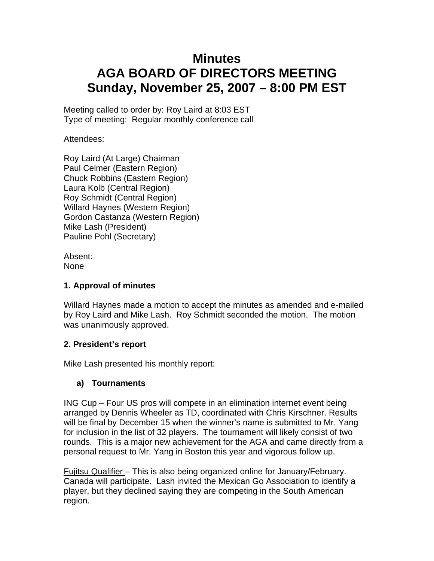# **Minutes AGA BOARD OF DIRECTORS MEETING Sunday, November 25, 2007 – 8:00 PM EST**

Meeting called to order by: Roy Laird at 8:03 EST Type of meeting: Regular monthly conference call

Attendees:

Roy Laird (At Large) Chairman Paul Celmer (Eastern Region) Chuck Robbins (Eastern Region) Laura Kolb (Central Region) Roy Schmidt (Central Region) Willard Haynes (Western Region) Gordon Castanza (Western Region) Mike Lash (President) Pauline Pohl (Secretary)

Absent: None

## **1. Approval of minutes**

Willard Haynes made a motion to accept the minutes as amended and e-mailed by Roy Laird and Mike Lash. Roy Schmidt seconded the motion. The motion was unanimously approved.

# **2. President's report**

Mike Lash presented his monthly report:

# **a) Tournaments**

ING Cup – Four US pros will compete in an elimination internet event being arranged by Dennis Wheeler as TD, coordinated with Chris Kirschner. Results will be final by December 15 when the winner's name is submitted to Mr. Yang for inclusion in the list of 32 players. The tournament will likely consist of two rounds. This is a major new achievement for the AGA and came directly from a personal request to Mr. Yang in Boston this year and vigorous follow up.

Fujitsu Qualifier – This is also being organized online for January/February. Canada will participate. Lash invited the Mexican Go Association to identify a player, but they declined saying they are competing in the South American region.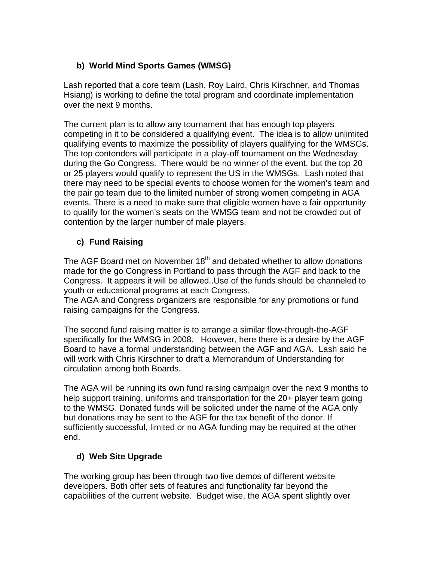# **b) World Mind Sports Games (WMSG)**

Lash reported that a core team (Lash, Roy Laird, Chris Kirschner, and Thomas Hsiang) is working to define the total program and coordinate implementation over the next 9 months.

The current plan is to allow any tournament that has enough top players competing in it to be considered a qualifying event. The idea is to allow unlimited qualifying events to maximize the possibility of players qualifying for the WMSGs. The top contenders will participate in a play-off tournament on the Wednesday during the Go Congress. There would be no winner of the event, but the top 20 or 25 players would qualify to represent the US in the WMSGs. Lash noted that there may need to be special events to choose women for the women's team and the pair go team due to the limited number of strong women competing in AGA events. There is a need to make sure that eligible women have a fair opportunity to qualify for the women's seats on the WMSG team and not be crowded out of contention by the larger number of male players.

# **c) Fund Raising**

The AGF Board met on November  $18<sup>th</sup>$  and debated whether to allow donations made for the go Congress in Portland to pass through the AGF and back to the Congress. It appears it will be allowed..Use of the funds should be channeled to youth or educational programs at each Congress.

The AGA and Congress organizers are responsible for any promotions or fund raising campaigns for the Congress.

The second fund raising matter is to arrange a similar flow-through-the-AGF specifically for the WMSG in 2008. However, here there is a desire by the AGF Board to have a formal understanding between the AGF and AGA. Lash said he will work with Chris Kirschner to draft a Memorandum of Understanding for circulation among both Boards.

The AGA will be running its own fund raising campaign over the next 9 months to help support training, uniforms and transportation for the 20+ player team going to the WMSG. Donated funds will be solicited under the name of the AGA only but donations may be sent to the AGF for the tax benefit of the donor. If sufficiently successful, limited or no AGA funding may be required at the other end.

# **d) Web Site Upgrade**

The working group has been through two live demos of different website developers. Both offer sets of features and functionality far beyond the capabilities of the current website. Budget wise, the AGA spent slightly over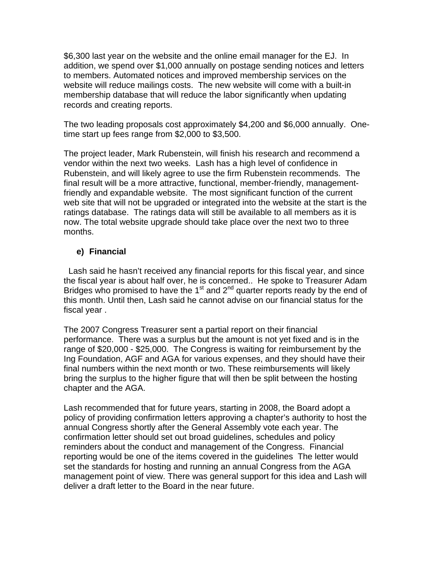\$6,300 last year on the website and the online email manager for the EJ. In addition, we spend over \$1,000 annually on postage sending notices and letters to members. Automated notices and improved membership services on the website will reduce mailings costs. The new website will come with a built-in membership database that will reduce the labor significantly when updating records and creating reports.

The two leading proposals cost approximately \$4,200 and \$6,000 annually. Onetime start up fees range from \$2,000 to \$3,500.

The project leader, Mark Rubenstein, will finish his research and recommend a vendor within the next two weeks. Lash has a high level of confidence in Rubenstein, and will likely agree to use the firm Rubenstein recommends. The final result will be a more attractive, functional, member-friendly, managementfriendly and expandable website. The most significant function of the current web site that will not be upgraded or integrated into the website at the start is the ratings database. The ratings data will still be available to all members as it is now. The total website upgrade should take place over the next two to three months.

## **e) Financial**

 Lash said he hasn't received any financial reports for this fiscal year, and since the fiscal year is about half over, he is concerned.. He spoke to Treasurer Adam Bridges who promised to have the  $1<sup>st</sup>$  and  $2<sup>nd</sup>$  quarter reports ready by the end of this month. Until then, Lash said he cannot advise on our financial status for the fiscal year .

The 2007 Congress Treasurer sent a partial report on their financial performance. There was a surplus but the amount is not yet fixed and is in the range of \$20,000 - \$25,000. The Congress is waiting for reimbursement by the Ing Foundation, AGF and AGA for various expenses, and they should have their final numbers within the next month or two. These reimbursements will likely bring the surplus to the higher figure that will then be split between the hosting chapter and the AGA.

Lash recommended that for future years, starting in 2008, the Board adopt a policy of providing confirmation letters approving a chapter's authority to host the annual Congress shortly after the General Assembly vote each year. The confirmation letter should set out broad guidelines, schedules and policy reminders about the conduct and management of the Congress. Financial reporting would be one of the items covered in the guidelines The letter would set the standards for hosting and running an annual Congress from the AGA management point of view. There was general support for this idea and Lash will deliver a draft letter to the Board in the near future.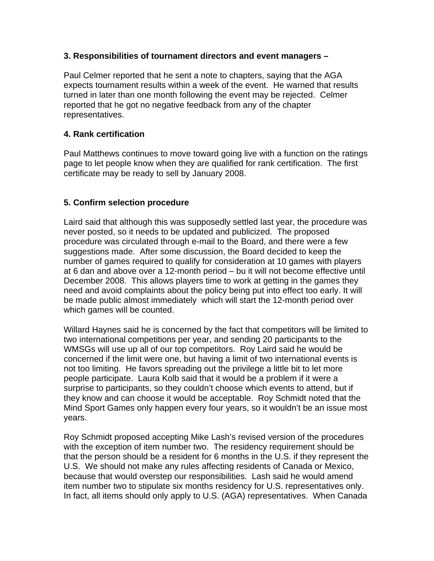#### **3. Responsibilities of tournament directors and event managers –**

Paul Celmer reported that he sent a note to chapters, saying that the AGA expects tournament results within a week of the event. He warned that results turned in later than one month following the event may be rejected. Celmer reported that he got no negative feedback from any of the chapter representatives.

#### **4. Rank certification**

Paul Matthews continues to move toward going live with a function on the ratings page to let people know when they are qualified for rank certification. The first certificate may be ready to sell by January 2008.

#### **5. Confirm selection procedure**

Laird said that although this was supposedly settled last year, the procedure was never posted, so it needs to be updated and publicized. The proposed procedure was circulated through e-mail to the Board, and there were a few suggestions made. After some discussion, the Board decided to keep the number of games required to qualify for consideration at 10 games with players at 6 dan and above over a 12-month period – bu it will not become effective until December 2008. This allows players time to work at getting in the games they need and avoid complaints about the policy being put into effect too early. It will be made public almost immediately which will start the 12-month period over which games will be counted.

Willard Haynes said he is concerned by the fact that competitors will be limited to two international competitions per year, and sending 20 participants to the WMSGs will use up all of our top competitors. Roy Laird said he would be concerned if the limit were one, but having a limit of two international events is not too limiting. He favors spreading out the privilege a little bit to let more people participate. Laura Kolb said that it would be a problem if it were a surprise to participants, so they couldn't choose which events to attend, but if they know and can choose it would be acceptable. Roy Schmidt noted that the Mind Sport Games only happen every four years, so it wouldn't be an issue most years.

Roy Schmidt proposed accepting Mike Lash's revised version of the procedures with the exception of item number two. The residency requirement should be that the person should be a resident for 6 months in the U.S. if they represent the U.S. We should not make any rules affecting residents of Canada or Mexico, because that would overstep our responsibilities. Lash said he would amend item number two to stipulate six months residency for U.S. representatives only. In fact, all items should only apply to U.S. (AGA) representatives. When Canada